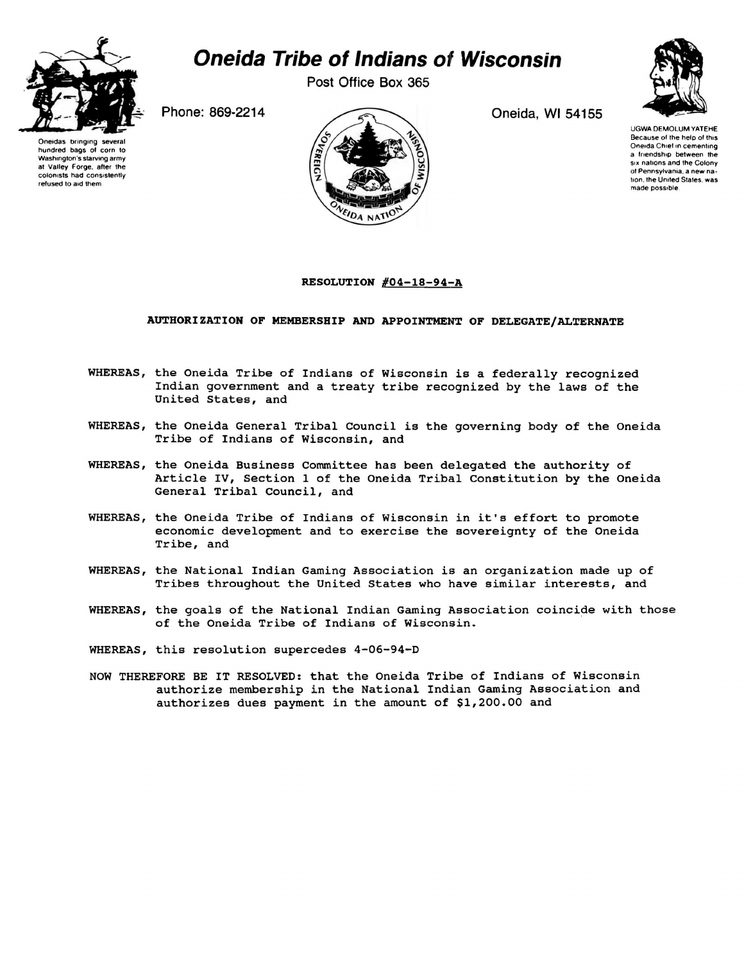

## *Oneida Tribe of Indians of Wisconsin*

Post Office Box 365

Oneida, Wl 54155



UGWA DEMOLUM YATEHE Because of the help of this Oneida Chief in cementing a friendship between the six nations and the Colony of Pennsylvania, a new nation. the United States, was made possible

Phone: 869-2214



## **RESOLUTION #04-18-94-A**

## **AUTHORI2ATION OF MEMBERSHIP AND APPOINTMENT OF DELEGATE/ALTERNATE**

- WHEREAS, the Oneida Tribe of Indians of Wisconsin is a federally recognized Indian government and a treaty tribe recognized by the laws of the United States, and
- WHEREAS, the Oneida General Tribal Council is the governing body of the Oneida Tribe of Indians of Wisconsin, and
- WHEREAS, the Oneida Business Committee has been delegated the authority of Article IV, Section 1 of the Oneida Tribal Constitution by the Oneida General Tribal Council, and
- WHEREAS, the Oneida Tribe of Indians of Wisconsin in it's effort to promote economic development and to exercise the sovereignty of the Oneida Tribe, and
- WHEREAS, the National Indian Gaming Association is an organization made up of Tribes throughout the United States who have similar interests, and
- WHEREAS, the goals of the National Indian Gaming Association coincide with those of the Oneida Tribe of Indians of Wisconsin.
- WHEREAS, this resolution supercedes 4-06-94-D
- NOW THEREFORE BE IT RESOLVED: that the Oneida Tribe of Indians of Wisconsin authorize membership in the National Indian Gaming Association and authorizes dues payment in the amount of \$1,200.00 and